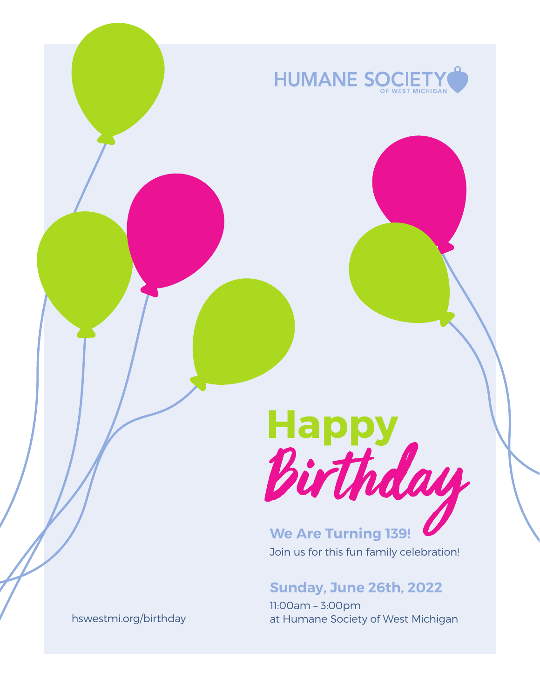

# **Happy**

**We Are Turning 139!** Join us for this fun family celebration!

#### **Sunday, June 26th, 2022**

11:00am – 3:00pm at Humane Society of West Michigan

hswestmi.org/birthday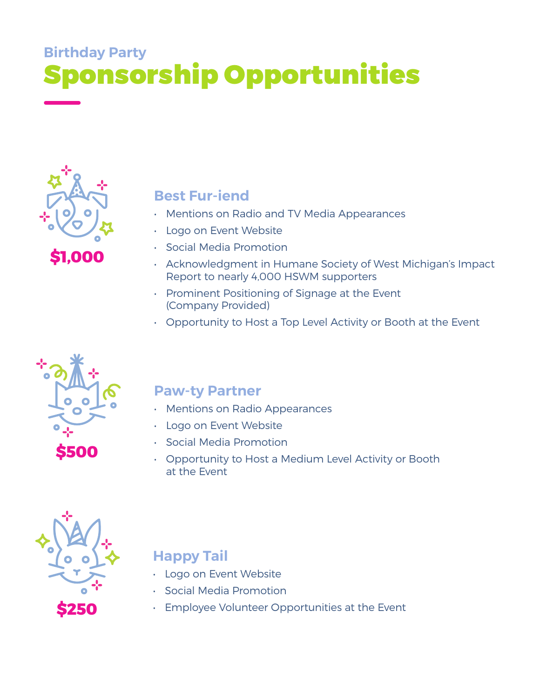# ponsorship Opportunities **Birthday Party**



**Best Fur-iend**

- Mentions on Radio and TV Media Appearances
- **Logo on Event Website**
- Social Media Promotion
- Acknowledgment in Humane Society of West Michigan's Impact Report to nearly 4,000 HSWM supporters
- Prominent Positioning of Signage at the Event (Company Provided)
- Opportunity to Host a Top Level Activity or Booth at the Event



### **Paw-ty Partner**

- Mentions on Radio Appearances
- Logo on Event Website
- Social Media Promotion
- Opportunity to Host a Medium Level Activity or Booth at the Event



## **Happy Tail**

- Logo on Event Website
- Social Media Promotion
- Employee Volunteer Opportunities at the Event